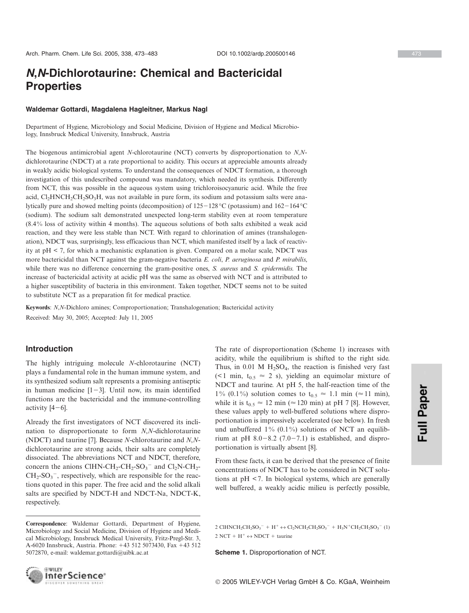# *N***,***N***-Dichlorotaurine: Chemical and Bactericidal Properties**

#### **Waldemar Gottardi, Magdalena Hagleitner, Markus Nagl**

Department of Hygiene, Microbiology and Social Medicine, Division of Hygiene and Medical Microbiology, Innsbruck Medical University, Innsbruck, Austria

The biogenous antimicrobial agent *N*-chlorotaurine (NCT) converts by disproportionation to *N*,*N*dichlorotaurine (NDCT) at a rate proportional to acidity. This occurs at appreciable amounts already in weakly acidic biological systems. To understand the consequences of NDCT formation, a thorough investigation of this undescribed compound was mandatory, which needed its synthesis. Differently from NCT, this was possible in the aqueous system using trichloroisocyanuric acid. While the free acid,  $Cl<sub>2</sub>HNCH<sub>2</sub>CH<sub>2</sub>SO<sub>3</sub>H$ , was not available in pure form, its sodium and potassium salts were analytically pure and showed melting points (decomposition) of  $125-128$ °C (potassium) and  $162-164$ °C (sodium). The sodium salt demonstrated unexpected long-term stability even at room temperature (8.4 % loss of activity within 4 months). The aqueous solutions of both salts exhibited a weak acid reaction, and they were less stable than NCT. With regard to chlorination of amines (transhalogenation), NDCT was, surprisingly, less efficacious than NCT, which manifested itself by a lack of reactivity at pH < 7, for which a mechanistic explanation is given. Compared on a molar scale, NDCT was more bactericidal than NCT against the gram-negative bacteria *E. coli*, *P. aeruginosa* and *P. mirabilis*, while there was no difference concerning the gram-positive ones, *S. aureus* and *S. epidermidis*. The increase of bactericidal activity at acidic pH was the same as observed with NCT and is attributed to a higher susceptibility of bacteria in this environment. Taken together, NDCT seems not to be suited to substitute NCT as a preparation fit for medical practice.

**Keywords**: *N*,*N*-Dichloro amines; Comproportionation; Transhalogenation; Bactericidal activity

Received: May 30, 2005; Accepted: July 11, 2005

## **Introduction**

The highly intriguing molecule *N*-chlorotaurine (NCT) plays a fundamental role in the human immune system, and its synthesized sodium salt represents a promising antiseptic in human medicine  $[1-3]$ . Until now, its main identified functions are the bactericidal and the immune-controlling activity  $[4-6]$ .

Already the first investigators of NCT discovered its inclination to disproportionate to form *N*,*N*-dichlorotaurine (NDCT) and taurine [7]. Because *N*-chlorotaurine and *N*,*N*dichlorotaurine are strong acids, their salts are completely dissociated. The abbreviations NCT and NDCT, therefore, concern the anions ClHN-CH<sub>2</sub>-CH<sub>2</sub>-SO<sub>3</sub><sup>-</sup> and Cl<sub>2</sub>N-CH<sub>2</sub>- $CH_2$ -SO<sub>3</sub><sup>-</sup>, respectively, which are responsible for the reactions quoted in this paper. The free acid and the solid alkali salts are specified by NDCT-H and NDCT-Na, NDCT-K, respectively.

The rate of disproportionation (Scheme 1) increases with acidity, while the equilibrium is shifted to the right side. Thus, in 0.01 M  $H_2SO_4$ , the reaction is finished very fast (<1 min,  $t_{0.5} \approx 2$  s), yielding an equimolar mixture of NDCT and taurine. At pH 5, the half-reaction time of the 1% (0.1%) solution comes to  $t_{0.5} \approx 1.1$  min ( $\approx 11$  min), while it is  $t_{0.5} \approx 12$  min ( $\approx 120$  min) at pH 7 [8]. However, these values apply to well-buffered solutions where disproportionation is impressively accelerated (see below). In fresh und unbuffered  $1\%$  (0.1%) solutions of NCT an equilibrium at pH  $8.0-8.2$  (7.0-7.1) is established, and disproportionation is virtually absent [8].

From these facts, it can be derived that the presence of finite concentrations of NDCT has to be considered in NCT solutions at pH < 7. In biological systems, which are generally well buffered, a weakly acidic milieu is perfectly possible,

2 CIHNCH<sub>2</sub>CH<sub>2</sub>SO<sub>3</sub><sup>-</sup> + H<sup>+</sup>  $\leftrightarrow$  Cl<sub>2</sub>NCH<sub>2</sub>CH<sub>2</sub>SO<sub>3</sub><sup>-</sup> + H<sub>3</sub>N<sup>+</sup>CH<sub>2</sub>CH<sub>2</sub>SO<sub>3</sub><sup>-</sup> (1)  $2 NCT + H^+ \leftrightarrow NDCT + \text{taurine}$ 

**Scheme 1.** Disproportionation of NCT.



**Correspondence**: Waldemar Gottardi, Department of Hygiene, Microbiology and Social Medicine, Division of Hygiene and Medical Microbiology, Innsbruck Medical University, Fritz-Pregl-Str. 3, A-6020 Innsbruck, Austria. Phone: +43 512 5073430, Fax +43 512 5072870, e-mail: waldemar.gottardi@uibk.ac.at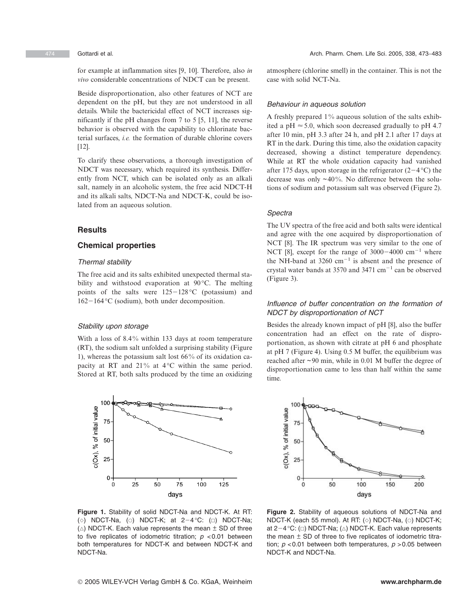for example at inflammation sites [9, 10]. Therefore, also *in vivo* considerable concentrations of NDCT can be present.

Beside disproportionation, also other features of NCT are dependent on the pH, but they are not understood in all details. While the bactericidal effect of NCT increases significantly if the pH changes from 7 to 5 [5, 11], the reverse behavior is observed with the capability to chlorinate bacterial surfaces, *i.e.* the formation of durable chlorine covers [12].

To clarify these observations, a thorough investigation of NDCT was necessary, which required its synthesis. Differently from NCT, which can be isolated only as an alkali salt, namely in an alcoholic system, the free acid NDCT-H and its alkali salts, NDCT-Na and NDCT-K, could be isolated from an aqueous solution.

## **Results**

## **Chemical properties**

## *Thermal stability*

The free acid and its salts exhibited unexpected thermal stability and withstood evaporation at 90 °C. The melting points of the salts were  $125-128$  °C (potassium) and  $162-164$  °C (sodium), both under decomposition.

## *Stability upon storage*

With a loss of 8.4% within 133 days at room temperature (RT), the sodium salt unfolded a surprising stability (Figure 1), whereas the potassium salt lost 66 % of its oxidation capacity at RT and  $21\%$  at  $4^{\circ}$ C within the same period. Stored at RT, both salts produced by the time an oxidizing



atmosphere (chlorine smell) in the container. This is not the case with solid NCT-Na.

#### *Behaviour in aqueous solution*

A freshly prepared 1 % aqueous solution of the salts exhibited a pH  $\approx$  5.0, which soon decreased gradually to pH 4.7 after 10 min, pH 3.3 after 24 h, and pH 2.1 after 17 days at RT in the dark. During this time, also the oxidation capacity decreased, showing a distinct temperature dependency. While at RT the whole oxidation capacity had vanished after 175 days, upon storage in the refrigerator  $(2-4 °C)$  the decrease was only  $\sim$  40%. No difference between the solutions of sodium and potassium salt was observed (Figure 2).

### *Spectra*

The UV spectra of the free acid and both salts were identical and agree with the one acquired by disproportionation of NCT [8]. The IR spectrum was very similar to the one of NCT [8], except for the range of  $3000-4000$  cm<sup>-1</sup> where the NH-band at 3260  $cm^{-1}$  is absent and the presence of crystal water bands at 3570 and 3471  $cm^{-1}$  can be observed (Figure 3).

## *Influence of buffer concentration on the formation of NDCT by disproportionation of NCT*

Besides the already known impact of pH [8], also the buffer concentration had an effect on the rate of disproportionation, as shown with citrate at pH 6 and phosphate at pH 7 (Figure 4). Using 0.5 M buffer, the equilibrium was reached after ~ 90 min, while in 0.01 M buffer the degree of disproportionation came to less than half within the same time.



**Figure 1.** Stability of solid NDCT-Na and NDCT-K. At RT: (◇) NDCT-Na, (○) NDCT-K; at 2−4 °C: (□) NDCT-Na;  $(\triangle)$  NDCT-K. Each value represents the mean  $\pm$  SD of three to five replicates of iodometric titration; *p* <0.01 between both temperatures for NDCT-K and between NDCT-K and NDCT-Na.

**Figure 2.** Stability of aqueous solutions of NDCT-Na and NDCT-K (each 55 mmol). At RT: (◇) NDCT-Na, (○) NDCT-K; at  $2-4$  °C: ( $\Box$ ) NDCT-Na; ( $\triangle$ ) NDCT-K. Each value represents the mean  $\pm$  SD of three to five replicates of iodometric titration; *p* <0.01 between both temperatures, *p* >0.05 between NDCT-K and NDCT-Na.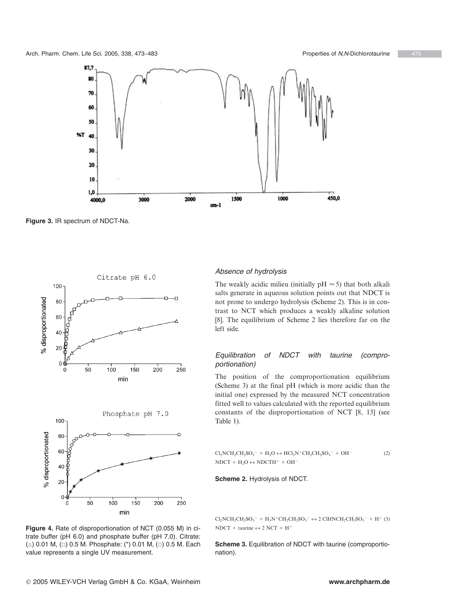

**Figure 3.** IR spectrum of NDCT-Na.



## *Absence of hydrolysis*

The weakly acidic milieu (initially  $pH \approx 5$ ) that both alkali salts generate in aqueous solution points out that NDCT is not prone to undergo hydrolysis (Scheme 2). This is in contrast to NCT which produces a weakly alkaline solution [8]. The equilibrium of Scheme 2 lies therefore far on the left side.

## *Equilibration of NDCT with taurine (comproportionation)*

The position of the comproportionation equilibrium (Scheme 3) at the final pH (which is more acidic than the initial one) expressed by the measured NCT concentration fitted well to values calculated with the reported equilibrium constants of the disproportionation of NCT [8, 13] (see Table 1).

$$
Cl2NCH2CH2SO3- + H2O \leftrightarrow HCl2N+CH2CH2SO3- + OH-
$$
\n
$$
NDCT + H2O \leftrightarrow NDCTH+ + OH-
$$
\n(2)

## **Scheme 2.** Hydrolysis of NDCT.

 $Cl_2NCH_2CH_2SO_3^- + H_3N^+CH_2CH_2SO_3^- \leftrightarrow 2 \text{ CIHNCH}_2CH_2SO_3^- + H^+ (3)$  $NDCT + \text{taurine} \leftrightarrow 2 NCT + H^+$ 

**Scheme 3.** Equilibration of NDCT with taurine (comproportionation).

**Figure 4.** Rate of disproportionation of NCT (0.055 M) in citrate buffer (pH 6.0) and phosphate buffer (pH 7.0). Citrate:  $(\vartriangle)$  0.01 M,  $(\Box)$  0.5 M. Phosphate: (\*) 0.01 M, ( $\circ$ ) 0.5 M. Each value represents a single UV measurement.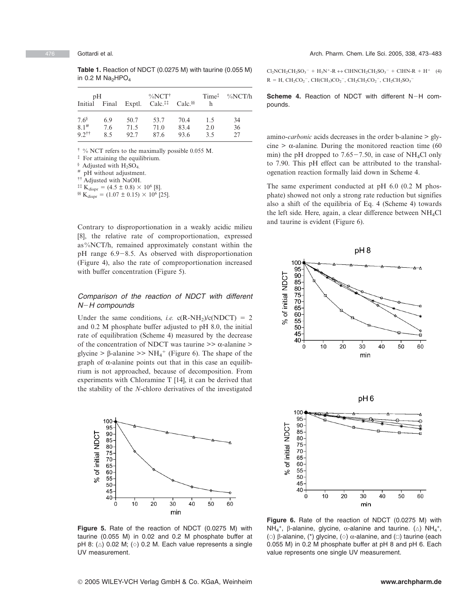**Table 1.** Reaction of NDCT (0.0275 M) with taurine (0.055 M) in 0.2 M  $Na<sub>2</sub>HPO<sub>4</sub>$ 

| pH                  |     | $\%$ NCT <sup>†</sup> |                                                                           |      | Time <sup>†</sup> | $\%NCT/h$ |
|---------------------|-----|-----------------------|---------------------------------------------------------------------------|------|-------------------|-----------|
| Initial Final       |     |                       | Exptl. Calc. <sup><math>\ddagger\ddagger</math></sup> Calc. <sup>§§</sup> |      | h                 |           |
| $7.6^{\circ}$       | 6.9 | 50.7                  | 53.7                                                                      | 70.4 | 1.5               | 34        |
| $8.1^{#}$           | 7.6 | 71.5                  | 71.0                                                                      | 83.4 | 2.0               | 36        |
| $9.2$ <sup>††</sup> | 85  | 92.7                  | 87.6                                                                      | 93.6 | 3.5               | 27        |

 $\dagger$  % NCT refers to the maximally possible 0.055 M.

‡ For attaining the equilibrium.

 $\frac{8}{3}$  Adjusted with H<sub>2</sub>SO<sub>4</sub>.

pH without adjustment.

†† Adjusted with NaOH.

<sup>‡‡</sup> K<sub>dispr</sub> =  $(4.5 \pm 0.8) \times 10^6$  [8].

<sup>§§</sup> K<sub>dispr</sub> = (1.07 ± 0.15)  $\times$  10<sup>6</sup> [25].

Contrary to disproportionation in a weakly acidic milieu [8], the relative rate of comproportionation, expressed as %NCT/h, remained approximately constant within the  $pH$  range 6.9-8.5. As observed with disproportionation (Figure 4), also the rate of comproportionation increased with buffer concentration (Figure 5).

## *Comparison of the reaction of NDCT with different NH compounds*

Under the same conditions, *i.e.*  $c(R-NH_2)/c(NDCT) = 2$ and 0.2 M phosphate buffer adjusted to pH 8.0, the initial rate of equilibration (Scheme 4) measured by the decrease of the concentration of NDCT was taurine  $\geq \alpha$ -alanine  $\geq$ glycine > β-alanine >>  $NH_4^+$  (Figure 6). The shape of the graph of α-alanine points out that in this case an equilibrium is not approached, because of decomposition. From experiments with Chloramine T [14], it can be derived that the stability of the *N*-chloro derivatives of the investigated



 $Cl_2NCH_2CH_2SO_3^- + H_3N^-.R \leftrightarrow ClHNCH_2CH_2SO_3^- + ClHN-R + H^+$  (4)  $R = H$ , CH<sub>2</sub>CO<sub>2</sub><sup>-</sup>, CH(CH<sub>3</sub>)CO<sub>2</sub><sup>-</sup>, CH<sub>2</sub>CH<sub>2</sub>CO<sub>2</sub><sup>-</sup>, CH<sub>2</sub>CH<sub>2</sub>SO<sub>3</sub><sup>-</sup>

## **Scheme 4.** Reaction of NDCT with different N-H compounds.

amino-*carbonic* acids decreases in the order b-alanine > glycine  $> \alpha$ -alanine. During the monitored reaction time (60) min) the pH dropped to  $7.65-7.50$ , in case of NH<sub>4</sub>Cl only to 7.90. This pH effect can be attributed to the transhalogenation reaction formally laid down in Scheme 4.

The same experiment conducted at pH 6.0 (0.2 M phosphate) showed not only a strong rate reduction but signifies also a shift of the equilibria of Eq. 4 (Scheme 4) towards the left side. Here, again, a clear difference between  $NH<sub>4</sub>Cl$ and taurine is evident (Figure 6).



**Figure 5.** Rate of the reaction of NDCT (0.0275 M) with taurine (0.055 M) in 0.02 and 0.2 M phosphate buffer at pH 8:  $(\triangle)$  0.02 M;  $(\diamond)$  0.2 M. Each value represents a single UV measurement.

**Figure 6.** Rate of the reaction of NDCT (0.0275 M) with NH<sub>4</sub><sup>+</sup>, β-alanine, glycine, α-alanine and taurine. ( $\triangle$ ) NH<sub>4</sub><sup>+</sup>, ( $\circ$ ) β-alanine, (\*) glycine, ( $\diamond$ ) α-alanine, and ( $\Box$ ) taurine (each 0.055 M) in 0.2 M phosphate buffer at pH 8 and pH 6. Each value represents one single UV measurement.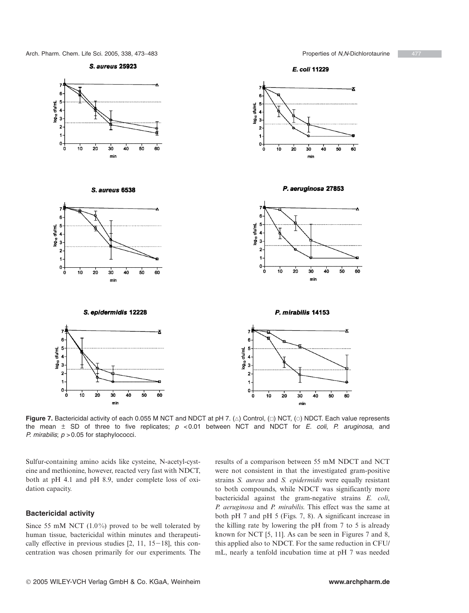#### **S. aureus 25923**



S. aureus 6538



ŧ ctu/mL  $\overline{4}$ နှံ ś 2  $\ddot{\phantom{a}}$ o.  $\dot{\mathbf{o}}$  $10$ 20 40 30 50 60 mir

E. coli 11229

P. aeruginosa 27853



P. mirabilis 14153



Figure 7. Bactericidal activity of each 0.055 M NCT and NDCT at pH 7. ( $\triangle$ ) Control, ( $\Box$ ) NCT, ( $\odot$ ) NDCT. Each value represents the mean ± SD of three to five replicates; *p* <0.01 between NCT and NDCT for *E. coli*, *P. aruginosa*, and *P. mirabilis*;  $p > 0.05$  for staphylococci.

Sulfur-containing amino acids like cysteine, N-acetyl-cysteine and methionine, however, reacted very fast with NDCT, both at pH 4.1 and pH 8.9, under complete loss of oxidation capacity.

## **Bactericidal activity**

Since 55 mM NCT  $(1.0\%)$  proved to be well tolerated by human tissue, bactericidal within minutes and therapeutically effective in previous studies  $[2, 11, 15-18]$ , this concentration was chosen primarily for our experiments. The

results of a comparison between 55 mM NDCT and NCT were not consistent in that the investigated gram-positive strains *S. aureus* and *S. epidermidis* were equally resistant to both compounds, while NDCT was significantly more bactericidal against the gram-negative strains *E. coli*, *P. aeruginosa* and *P. mirabilis*. This effect was the same at both pH 7 and pH 5 (Figs. 7, 8). A significant increase in the killing rate by lowering the pH from 7 to 5 is already known for NCT [5, 11]. As can be seen in Figures 7 and 8, this applied also to NDCT. For the same reduction in CFU/ mL, nearly a tenfold incubation time at pH 7 was needed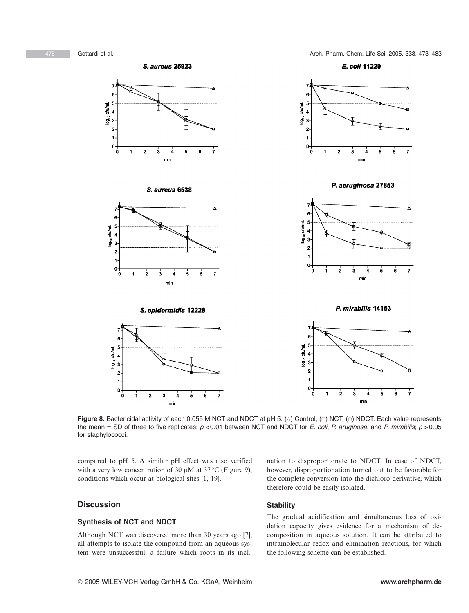E. coli 11229





3  $\overline{a}$ 

 $\mathbf{0}$ Ò Ă  $\dot{2}$ ė ż š Ŕ min

P. mirabilis 14153

min

 $\mathbf{6}$  $\frac{1}{\tau}$ 

ś



**Figure 8.** Bactericidal activity of each 0.055 M NCT and NDCT at pH 5. ( $\vartriangle$ ) Control, ( $\Box$ ) NCT, ( $\circ$ ) NDCT. Each value represents the mean ± SD of three to five replicates; *p* <0.01 between NCT and NDCT for *E. coli*, *P. aruginosa*, and *P. mirabilis*; *p* >0.05 for staphylococci.

compared to pH 5. A similar pH effect was also verified with a very low concentration of 30  $\mu$ M at 37 °C (Figure 9), conditions which occur at biological sites [1, 19].

## **Discussion**

## **Synthesis of NCT and NDCT**

Although NCT was discovered more than 30 years ago [7], all attempts to isolate the compound from an aqueous system were unsuccessful, a failure which roots in its inclination to disproportionate to NDCT. In case of NDCT, however, disproportionation turned out to be favorable for the complete conversion into the dichloro derivative, which therefore could be easily isolated.

## **Stability**

The gradual acidification and simultaneous loss of oxidation capacity gives evidence for a mechanism of decomposition in aqueous solution. It can be attributed to intramolecular redox and elimination reactions, for which the following scheme can be established.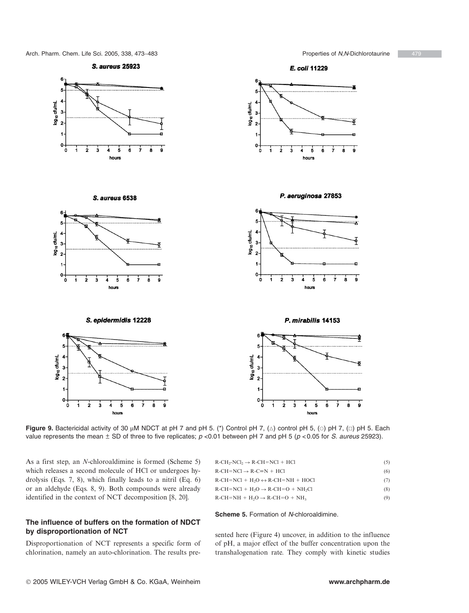

**Figure 9.** Bactericidal activity of 30  $\mu$ M NDCT at pH 7 and pH 5. (\*) Control pH 7, ( $\triangle$ ) control pH 5, ( $\circ$ ) pH 7, ( $\Box$ ) pH 5. Each value represents the mean ± SD of three to five replicates; *p* <0.01 between pH 7 and pH 5 (*p* <0.05 for *S. aureus* 25923).

As a first step, an *N*-chloroaldimine is formed (Scheme 5) which releases a second molecule of HCl or undergoes hydrolysis (Eqs. 7, 8), which finally leads to a nitril (Eq. 6) or an aldehyde (Eqs. 8, 9). Both compounds were already identified in the context of NCT decomposition [8, 20].

## **The influence of buffers on the formation of NDCT by disproportionation of NCT**

Disproportionation of NCT represents a specific form of chlorination, namely an auto-chlorination. The results pre-

| $R\text{-CH}_2\text{-NCl}_2 \rightarrow R\text{-CH}=\text{NCl} + \text{HCl}$ |  |
|------------------------------------------------------------------------------|--|
|                                                                              |  |

 $R$ -CH=NCl  $\rightarrow$  R-C=N +  $+ HCl$  (6)  $R\text{-CH} = NC1 + H_2O \leftrightarrow R\text{-CH} = NH + HOC1$  (7)

 $R\text{-CH} = NCl + H_2O \rightarrow R\text{-CH} = O + NH_2Cl$  (8)  $R\text{-CH} = NH + H_2O \rightarrow R\text{-CH} = O + NH_3$  (9)

**Scheme 5.** Formation of *N*-chloroaldimine.

sented here (Figure 4) uncover, in addition to the influence of pH, a major effect of the buffer concentration upon the transhalogenation rate. They comply with kinetic studies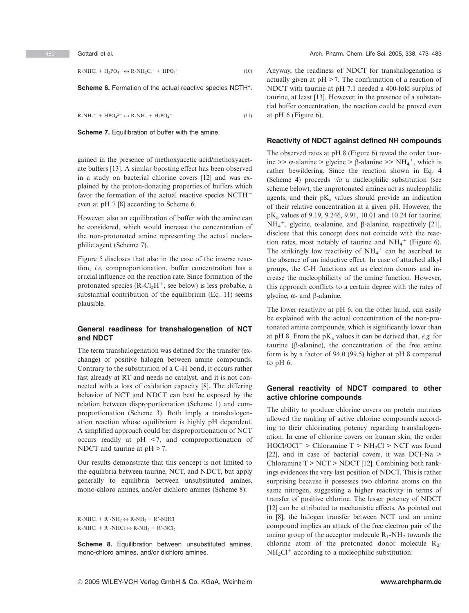$R\text{-}NHCl + H_2PO_4^- \leftrightarrow R\text{-}NH_2Cl^+ + HPO_4$  $2-$  (10)

**Scheme 6.** Formation of the actual reactive species NCTH<sup>+</sup>.

 $R\text{-}NH_3^+ + HPO_4^{2-} \leftrightarrow R\text{-}NH_2 + H_2PO_4$  $\overline{\hspace{1cm}}$  (11)

**Scheme 7.** Equilibration of buffer with the amine.

gained in the presence of methoxyacetic acid/methoxyacetate buffers [13]. A similar boosting effect has been observed in a study on bacterial chlorine covers [12] and was explained by the proton-donating properties of buffers which favor the formation of the actual reactive species NCTH<sup>+</sup> even at pH 7 [8] according to Scheme 6.

However, also an equilibration of buffer with the amine can be considered, which would increase the concentration of the non-protonated amine representing the actual nucleophilic agent (Scheme 7).

Figure 5 discloses that also in the case of the inverse reaction, *i.e.* comproportionation, buffer concentration has a crucial influence on the reaction rate. Since formation of the protonated species  $(R-Cl<sub>2</sub>H<sup>+</sup>$ , see below) is less probable, a substantial contribution of the equilibrium (Eq. 11) seems plausible.

## **General readiness for transhalogenation of NCT and NDCT**

The term transhalogenation was defined for the transfer (exchange) of positive halogen between amine compounds. Contrary to the substitution of a C-H bond, it occurs rather fast already at RT and needs no catalyst, and it is not connected with a loss of oxidation capacity [8]. The differing behavior of NCT and NDCT can best be exposed by the relation between disproportionation (Scheme 1) and comproportionation (Scheme 3). Both imply a transhalogenation reaction whose equilibrium is highly pH dependent. A simplified approach could be: disproportionation of NCT occurs readily at pH < 7, and comproportionation of NDCT and taurine at  $pH > 7$ .

Our results demonstrate that this concept is not limited to the equilibria between taurine, NCT, and NDCT, but apply generally to equilibria between unsubstituted amines, mono-chloro amines, and/or dichloro amines (Scheme 8):

 $R\text{-}\text{NHCl} + R'\text{-}\text{NH}_2 \leftrightarrow R\text{-}\text{NH}_2 + R'\text{-}\text{NHCl}$  $R\text{-}NHCl + R'\text{-}NHCl \leftrightarrow R\text{-}NH_2 + R'\text{-}NCl_2$ 

**Scheme 8.** Equilibration between unsubstituted amines, mono-chloro amines, and/or dichloro amines.

Anyway, the readiness of NDCT for transhalogenation is actually given at  $pH > 7$ . The confirmation of a reaction of NDCT with taurine at pH 7.1 needed a 400-fold surplus of taurine, at least [13]. However, in the presence of a substantial buffer concentration, the reaction could be proved even at pH 6 (Figure 6).

#### **Reactivity of NDCT against defined NH compounds**

The observed rates at pH 8 (Figure 6) reveal the order taurine >>  $\alpha$ -alanine > glycine >  $\beta$ -alanine >>  $NH_4^+$ , which is rather bewildering. Since the reaction shown in Eq. 4 (Scheme 4) proceeds *via* a nucleophilic substitution (see scheme below), the unprotonated amines act as nucleophilic agents, and their  $pK_a$  values should provide an indication of their relative concentration at a given pH. However, the pKa values of 9.19, 9.246, 9.91, 10.01 and 10.24 for taurine, NH<sub>4</sub><sup>+</sup>, glycine, α-alanine, and β-alanine, respectively [21], disclose that this concept does not coincide with the reaction rates, most notably of taurine and  $NH_4^+$  (Figure 6). The strikingly low reactivity of  $NH_4^+$  can be ascribed to the absence of an inductive effect. In case of attached alkyl groups, the C-H functions act as electron donors and increase the nucleophilicity of the amine function. However, this approach conflicts to a certain degree with the rates of glycine, α- and β-alanine.

The lower reactivity at pH 6, on the other hand, can easily be explained with the actual concentration of the non-protonated amine compounds, which is significantly lower than at pH 8. From the  $pK_a$  values it can be derived that, *e.g.* for taurine (β-alanine), the concentration of the free amine form is by a factor of 94.0 (99.5) higher at pH 8 compared to pH 6.

## **General reactivity of NDCT compared to other active chlorine compounds**

The ability to produce chlorine covers on protein matrices allowed the ranking of active chlorine compounds according to their chlorinating potency regarding transhalogenation. In case of chlorine covers on human skin, the order  $HOCI/OCI^{-}$  > Chloramine T > NH<sub>2</sub>Cl > NCT was found [22], and in case of bacterial covers, it was DCI-Na > Chloramine  $T > NCT > NDCT$  [12]. Combining both rankings evidences the very last position of NDCT. This is rather surprising because it possesses two chlorine atoms on the same nitrogen, suggesting a higher reactivity in terms of transfer of positive chlorine. The lesser potency of NDCT [12] can be attributed to mechanistic effects. As pointed out in [8], the halogen transfer between NCT and an amine compound implies an attack of the free electron pair of the amino group of the acceptor molecule  $R_1$ -NH<sub>2</sub> towards the chlorine atom of the protonated donor molecule  $R_2$ - $NH<sub>2</sub>Cl<sup>+</sup>$  according to a nucleophilic substitution: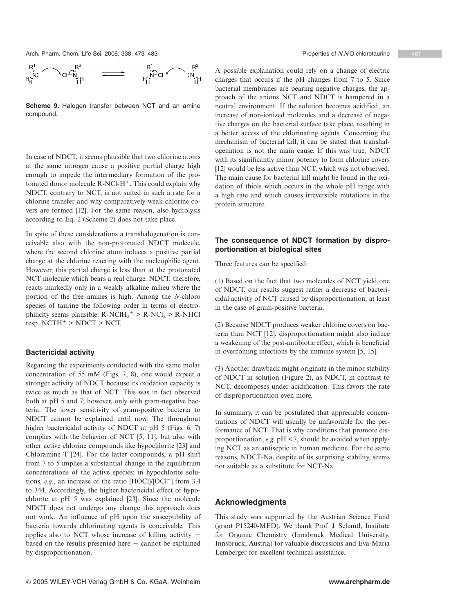

**Scheme 9.** Halogen transfer between NCT and an amine compound.

In case of NDCT, it seems plausible that two chlorine atoms at the same nitrogen cause a positive partial charge high enough to impede the intermediary formation of the protonated donor molecule  $R-NCl_2H^+$ . This could explain why NDCT, contrary to NCT, is not suited in such a rate for a chlorine transfer and why comparatively weak chlorine covers are formed [12]. For the same reason, also hydrolysis according to Eq. 2 (Scheme 2) does not take place.

In spite of these considerations a transhalogenation is conceivable also with the non-protonated NDCT molecule, where the second chlorine atom induces a positive partial charge at the chlorine reacting with the nucleophilic agent. However, this partial charge is less than at the protonated NCT molecule which bears a real charge. NDCT, therefore, reacts markedly only in a weakly alkaline milieu where the portion of the free amines is high. Among the *N*-chloro species of taurine the following order in terms of electrophilicity seems plausible:  $R\text{-}NCIH_2^+ > R\text{-}NCI_2 > R\text{-}NHCl$  $resp. NCTH<sup>+</sup> > NDCT > NCT.$ 

## **Bactericidal activity**

Regarding the experiments conducted with the same molar concentration of 55 mM (Figs. 7, 8), one would expect a stronger activity of NDCT because its oxidation capacity is twice as much as that of NCT. This was in fact observed both at pH 5 and 7; however, only with gram-negative bacteria. The lower sensitivity of gram-positive bacteria to NDCT cannot be explained until now. The throughout higher bactericidal activity of NDCT at pH 5 (Figs. 6, 7) complies with the behavior of NCT [5, 11], but also with other active chlorine compounds like hypochlorite [23] and Chloramine T [24]. For the latter compounds, a pH shift from 7 to 5 implies a substantial change in the equilibrium concentrations of the active species: in hypochlorite solutions,  $e.g.,$  an increase of the ratio  $[HOC1]/[OC1^-]$  from 3.4 to 344. Accordingly, the higher bactericidal effect of hypochlorite at pH 5 was explained [23]. Since the molecule NDCT does not undergo any change this approach does not work. An influence of pH upon the susceptibility of bacteria towards chlorinating agents is conceivable. This applies also to NCT whose increase of killing activity based on the results presented here  $-$  cannot be explained by disproportionation.

A possible explanation could rely on a change of electric charges that occurs if the pH changes from 7 to 5. Since bacterial membranes are bearing negative charges, the approach of the anions NCT and NDCT is hampered in a neutral environment. If the solution becomes acidified, an increase of non-ionized molecules and a decrease of negative charges on the bacterial surface take place, resulting in a better access of the chlorinating agents. Concerning the mechanism of bacterial kill, it can be stated that transhalogenation is not the main cause. If this was true, NDCT with its significantly minor potency to form chlorine covers [12] would be less active than NCT, which was not observed. The main cause for bacterial kill might be found in the oxidation of thiols which occurs in the whole pH range with a high rate and which causes irreversible mutations in the protein structure.

## **The consequence of NDCT formation by disproportionation at biological sites**

Three features can be specified:

(1) Based on the fact that two molecules of NCT yield one of NDCT, our results suggest rather a decrease of bactericidal activity of NCT caused by disproportionation, at least in the case of gram-positive bacteria.

(2) Because NDCT produces weaker chlorine covers on bacteria than NCT [12], disproportionation might also induce a weakening of the post-antibiotic effect, which is beneficial in overcoming infections by the immune system [5, 15].

(3) Another drawback might originate in the minor stability of NDCT in solution (Figure 2), as NDCT, in contrast to NCT, decomposes under acidification. This favors the rate of disproportionation even more.

In summary, it can be postulated that appreciable concentrations of NDCT will usually be unfavorable for the performance of NCT. That is why conditions that promote disproportionation, *e.g.* pH < 7, should be avoided when applying NCT as an antiseptic in human medicine. For the same reasons, NDCT-Na, despite of its surprising stability, seems not suitable as a substitute for NCT-Na.

## **Acknowledgments**

This study was supported by the Austrian Science Fund (grant P15240-MED). We thank Prof. J. Schantl, Institute for Organic Chemistry (Innsbruck Medical University, Innsbruck, Austria) for valuable discussions and Eva-Maria Lemberger for excellent technical assistance.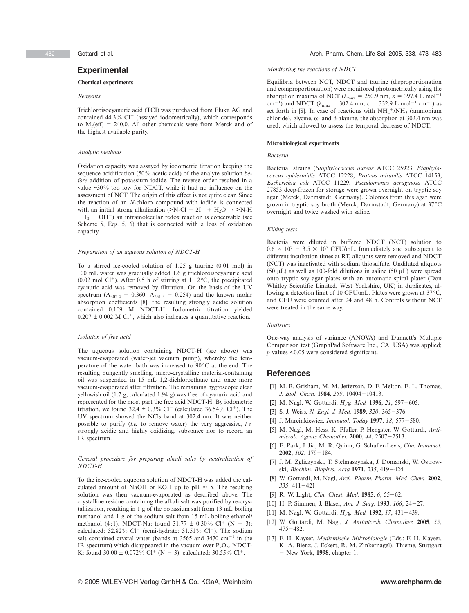## **Experimental**

### **Chemical experiments**

### *Reagents*

Trichloroisocyanuric acid (TCI) was purchased from Fluka AG and contained 44.3% Cl<sup>+</sup> (assayed iodometrically), which corresponds to  $M_r(eff) = 240.0$ . All other chemicals were from Merck and of the highest available purity.

#### *Analytic methods*

Oxidation capacity was assayed by iodometric titration keeping the sequence acidification (50% acetic acid) of the analyte solution *before* addition of potassium iodide. The reverse order resulted in a value ~30% too low for NDCT, while it had no influence on the assessment of NCT. The origin of this effect is not quite clear. Since the reaction of an *N*-chloro compound with iodide is connected with an initial strong alkalization ( $>$ N-Cl + 2I<sup>-</sup> + H<sub>2</sub>O  $\rightarrow$   $>$ N-H  $+ I_2 + OH^-$ ) an intramolecular redox reaction is conceivable (see Scheme 5, Eqs. 5, 6) that is connected with a loss of oxidation capacity.

#### *Preparation of an aqueous solution of NDCT-H*

To a stirred ice-cooled solution of 1.25 g taurine (0.01 mol) in 100 mL water was gradually added 1.6 g trichloroisocyanuric acid (0.02 mol Cl<sup>+</sup>). After 0.5 h of stirring at  $1-2$ °C, the precipitated cyanuric acid was removed by filtration. On the basis of the UV spectrum ( $A_{302.4} = 0.360$ ,  $A_{251.5} = 0.254$ ) and the known molar absorption coefficients [8], the resulting strongly acidic solution contained 0.109 M NDCT-H. Iodometric titration yielded  $0.207 \pm 0.002$  M Cl<sup>+</sup>, which also indicates a quantitative reaction.

#### *Isolation of free acid*

The aqueous solution containing NDCT-H (see above) was vacuum-evaporated (water-jet vacuum pump), whereby the temperature of the water bath was increased to 90°C at the end. The resulting pungently smelling, micro-crystalline material-containing oil was suspended in 15 mL 1,2-dichloroethane and once more vacuum-evaporated after filtration. The remaining hygroscopic clear yellowish oil (1.7 g; calculated 1.94 g) was free of cyanuric acid and represented for the most part the free acid NDCT-H. By iodometric titration, we found  $32.4 \pm 0.3\%$  Cl<sup>+</sup> (calculated  $36.54\%$  Cl<sup>+</sup>). The UV spectrum showed the  $NCl_2$  band at 302.4 nm. It was neither possible to purify (*i.e.* to remove water) the very aggressive, *i.e.* strongly acidic and highly oxidizing, substance nor to record an IR spectrum.

#### *General procedure for preparing alkali salts by neutralization of NDCT-H*

To the ice-cooled aqueous solution of NDCT-H was added the calculated amount of NaOH or KOH up to pH  $\approx$  5. The resulting solution was then vacuum-evaporated as described above. The crystalline residue containing the alkali salt was purified by re-crystallization, resulting in 1 g of the potassium salt from 13 mL boiling methanol and 1 g of the sodium salt from 15 mL boiling ethanol/ methanol (4:1). NDCT-Na: found  $31.77 \pm 0.30\%$  Cl<sup>+</sup> (N = 3); calculated:  $32.82\%$  Cl<sup>+</sup> (semi-hydrate:  $31.51\%$  Cl<sup>+</sup>). The sodium salt contained crystal water (bands at 3565 and 3470  $cm^{-1}$  in the IR spectrum) which disappeared in the vacuum over  $P_2O_5$ . NDCT-K: found  $30.00 \pm 0.072\% \text{ Cl}^+$  (N = 3); calculated:  $30.55\% \text{ Cl}^+$ .

#### *Monitoring the reactions of NDCT*

Equilibria between NCT, NDCT and taurine (disproportionation and comproportionation) were monitored photometrically using the absorption maxima of NCT ( $λ_{max} = 250.9$  nm,  $ε = 397.4$  L mol<sup>-1</sup> cm<sup>-1</sup>) and NDCT ( $\lambda_{\text{max}} = 302.4 \text{ nm}, \varepsilon = 332.9 \text{ L mol}^{-1} \text{ cm}^{-1}$ ) as set forth in [8]. In case of reactions with NH<sub>4</sub><sup>+</sup>/NH<sub>3</sub> (ammonium chloride), glycine,  $\alpha$ - and β-alanine, the absorption at 302.4 nm was used, which allowed to assess the temporal decrease of NDCT.

#### **Microbiological experiments**

#### *Bacteria*

Bacterial strains (*Staphylococcus aureus* ATCC 25923, *Staphylococcus epidermidis* ATCC 12228, *Proteus mirabilis* ATCC 14153, *Escherichia coli* ATCC 11229, *Pseudomonas aeruginosa* ATCC 27853 deep-frozen for storage were grown overnight on tryptic soy agar (Merck, Darmstadt, Germany). Colonies from this agar were grown in tryptic soy broth (Merck, Darmstadt, Germany) at 37°C overnight and twice washed with saline.

#### *Killing tests*

Bacteria were diluted in buffered NDCT (NCT) solution to  $0.6 \times 10^7 - 3.5 \times 10^7$  CFU/mL. Immediately and subsequent to different incubation times at RT, aliquots were removed and NDCT (NCT) was inactivated with sodium thiosulfate. Undiluted aliquots (50  $\mu$ L) as well as 100-fold dilutions in saline (50  $\mu$ L) were spread onto tryptic soy agar plates with an automatic spiral plater (Don Whitley Scientific Limited, West Yorkshire, UK) in duplicates, allowing a detection limit of 10 CFU/mL. Plates were grown at 37°C, and CFU were counted after 24 and 48 h. Controls without NCT were treated in the same way.

#### *Statistics*

One-way analysis of variance (ANOVA) and Dunnett's Multiple Comparison test (GraphPad Software Inc., CA, USA) was applied; *p* values <0.05 were considered significant.

## **References**

- [1] M. B. Grisham, M. M. Jefferson, D. F. Melton, E. L. Thomas, *J. Biol. Chem.* **1984**, 259, 10404-10413.
- [2] M. Nagl, W. Gottardi, *Hyg. Med.* **1996**, 21, 597-605.
- [3] S. J. Weiss, *N. Engl. J. Med.* **1989**, 320, 365-376.
- [4] J. Marcinkiewicz, *Immunol. Today* 1997, 18, 577-580.
- [5] M. Nagl, M. Hess, K. Pfaller, P. Hengster, W. Gottardi, *Antimicrob. Agents Chemother.* **2000**, 44, 2507-2513.
- [6] E. Park, J. Jia, M. R. Quinn, G. Schuller-Levis, *Clin. Immunol.* **2002**, *102*, 179-184.
- [7] J. M. Zgliczynski, T. Stelmaszynska, J. Domanski, W. Ostrowski, *Biochim. Biophys. Acta* 1971, 235, 419-424.
- [8] W. Gottardi, M. Nagl, *Arch. Pharm. Pharm. Med. Chem.* **2002**, 335, 411-421.
- [9] R. W. Light, *Clin. Chest. Med.* **1985**, *6*, 55-62.
- [10] H. P. Simmen, J. Blaser, *Am. J. Surg.* **1993**, *166*, 24-27.
- [11] M. Nagl, W. Gottardi, *Hyg. Med.* **1992**, 17, 431-439.
- [12] W. Gottardi, M. Nagl, *J. Antimicrob. Chemother.* **2005**, *55*,  $475 - 482.$
- [13] F. H. Kayser, *Medizinische Mikrobiologie* (Eds.: F. H. Kayser, K. A. Bienz, J. Eckert, R. M. Zinkernagel), Thieme, Stuttgart New York, **1998**, chapter 1.